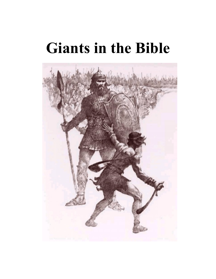# **Giants in the Bible**

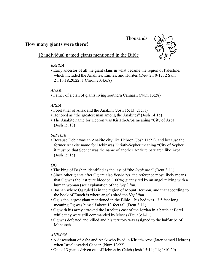# Thousands

## **How many giants were there?**



# 12 individual named giants mentioned in the Bible

## *RAPHA*

• Early ancestor of all the giant clans in what became the region of Palestine, which included the Anakites, Emites, and Horites (Deut 2:10-12; 2 Sam 21:16,18,20,22; 1 Chron 20:4,6,8)

## *ANAK*

• Father of a clan of giants living southern Cannaan (Num 13:28)

## *ARBA*

- Forefather of Anak and the Anakim (Josh 15:13; 21:11)
- Honored as "the greatest man among the Anakites" (Josh 14:15)
- The Anakite name for Hebron was Kiriath-Arba meaning "City of Arba" (Josh 15:13)

## *SEPHER*

• Because Debir was an Anakite city like Hebron (Josh 11:21), and because the former Anakite name for Debir was Kiriath-Sepher meaning "City of Sepher," it must be that Sepher was the name of another Anakite patriarch like Arba (Josh 15:15)

## *OG*

- The king of Bashan identified as the last of "the *Rephaites*" (Deut 3:11)
- Since other giants after Og are also *Rephaites*, the reference most likely means that Og was the last pure blooded (100%) giant sired by an angel mixing with a human woman (see explanation of the *Nephilim*)
- Bashan where Og ruled is in the region of Mount Hermon, and that according to the book of Enoch is where angels sired the *Nephilim*
- Og is the largest giant mentioned in the Bible—his bed was 13.5 feet long meaning Og was himself about 13 feet tall (Deut 3:11)
- Og with his army attacked the Israelites east of the Jordan in a battle at Edrei while they were still commanded by Moses (Deut 3:1-11)
- Og was defeated and killed and his territory was assigned to the half-tribe of Manasseh

## *AHIMAN*

- A descendant of Arba and Anak who lived in Kiriath-Arba (later named Hebron) when Israel invaded Canaan (Num 13:22)
- One of 3 giants driven out of Hebron by Caleb (Josh 15:14; Jdg 1:10,20)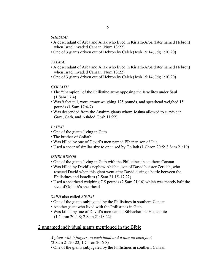#### *SHESHAI*

- A descendant of Arba and Anak who lived in Kiriath-Arba (later named Hebron) when Israel invaded Canaan (Num 13:22)
- One of 3 giants driven out of Hebron by Caleb (Josh 15:14; Jdg 1:10,20)

#### *TALMAI*

- A descendant of Arba and Anak who lived in Kiriath-Arba (later named Hebron) when Israel invaded Canaan (Num 13:22)
- One of 3 giants driven out of Hebron by Caleb (Josh 15:14; Jdg 1:10,20)

## *GOLIATH*

- The "champion" of the Philistine army opposing the Israelites under Saul (1 Sam 17:4)
- Was 9 feet tall, wore armor weighing 125 pounds, and spearhead weighed 15 pounds (1 Sam 17:4-7)
- Was descended from the Anakim giants whom Joshua allowed to survive in Gaza, Gath, and Ashdod (Josh 11:22)

#### *LAHMI*

- One of the giants living in Gath
- The brother of Goliath
- Was killed by one of David's men named Elhanan son of Jair
- Used a spear of similar size to one used by Goliath (1 Chron 20:5; 2 Sam 21:19)

#### *ISHBI-BENOB*

- One of the giants living in Gath with the Philistines in southern Canaan
- Was killed by David's nephew Abishai, son of David's sister Zeruiah, who rescued David when this giant went after David during a battle between the Philistines and Israelites (2 Sam 21:15-17,22)
- Used a spearhead weighing 7.5 pounds (2 Sam 21:16) which was merely half the size of Goliath's spearhead

## *SAPH* also called *SIPPAI*

- One of the giants subjugated by the Philistines in southern Canaan
- Another giant who lived with the Philistines in Gath
- Was killed by one of David's men named Sibbachai the Hushathite (1 Chron 20:4,8; 2 Sam 21:18,22)

# 2 unnamed individual giants mentioned in the Bible

*A giant with 6 fingers on each hand and 6 toes on each foot* (2 Sam 21:20-22; 1 Chron 20:6-8)

• One of the giants subjugated by the Philistines in southern Canaan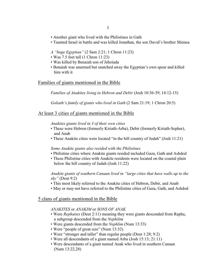- Another giant who lived with the Philistines in Gath
- Taunted Israel in battle and was killed Jonathan, the son David's brother Shimea

## *A "huge Egyptian"* (2 Sam 2:21; 1 Chron 11:23)

- Was 7.5 feet tall (1 Chron 11:23)
- Was killed by Benaiah son of Jehoiada
- Benaiah was unarmed but snatched away the Egyptian's own spear and killed him with it

## Families of giants mentioned in the Bible

*Families of Anakites living in Hebron and Debir* (Josh 10:36-39; 14:12-15)

*Goliath's family of giants who lived in Gath* (2 Sam 21:19; 1 Chron 20:5)

## At least 3 cities of giants mentioned in the Bible

*Anakites giants lived in 3 of their own cities*

- These were Hebron (formerly Kiriath-Arba), Debir (formerly Kiriath-Sepher), and Anab
- These Anakite cities were located "in the hill country of Judah" (Josh 11:21)

#### *Some Anakite giants also resided with the Philistines*

- Philistine cities where Anakite giants resided included Gaza, Gath and Ashdod
- These Philistine cities with Anakite residents were located on the coastal plain below the hill country of Judah (Josh 11:22)

## *Anakite giants of southern Canaan lived in "large cities that have walls up to the sky"* (Deut 9:2)

- This most likely referred to the Anakite cities of Hebron, Debir, and Anab
- May or may not have referred to the Philistine cities of Gaza, Gath, and Ashdod

## 5 clans of giants mentioned in the Bible

## *ANAKITES* or *ANAKIM* or *SONS OF ANAK*

- Were *Rephaites* (Deut 2:11) meaning they were giants descended from Rapha, a subgroup descended from the *Nephilim*
- Were giants descended from the *Nephlim* (Num 13:33)
- Were "people of great size" (Num 13:32)
- Were "stronger and taller" than regular people (Deut 1:28; 9:2)
- Were all descendants of a giant named Arba (Josh 15:13; 21:11)
- Were descendants of a giant named Anak who lived in southern Canaan (Num 13:22,28)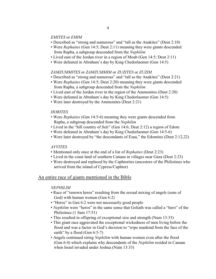#### *EMITES* or *EMIM*

- Described as "strong and numerous" and "tall as the Anakites" (Deut 2:10)
- Were *Rephaites* (Gen 14:5; Deut 2:11) meaning they were giants descended from Rapha, a subgroup descended from the *Nephilim*
- Lived east of the Jordan river in a region of Moab (Gen 14:5; Deut 2:11)
- Were defeated in Abraham's day by King Chedorlaomer (Gen 14:5)

#### *ZAMZUMMITES* or *ZAMZUMMIM* or *ZUZITES* or *ZUZIM*

- Described as "strong and numerous" and "tall as the Anakites" (Deut 2:21)
- Were *Rephaites* (Gen 14:5; Deut 2:20) meaning they were giants descended from Rapha, a subgroup descended from the *Nephilim*
- Lived east of the Jordan river in the region of the Ammonites (Deut 2:20)
- Were defeated in Abraham's day by King Chedorlaomer (Gen 14:5)
- Were later destroyed by the Ammonites (Deut 2:21)

#### *HORITES*

- Were *Rephaites* (Gen 14:5-6) meaning they were giants descended from Rapha, a subgroup descended from the *Nephilim*
- Lived in the "hill country of Seir" (Gen 14:6; Deut 2:12) a region of Edom
- Were defeated in Abraham's day by King Chedorlaomer (Gen 14:5-6)
- Were later destroyed by "the descendants of Esau," the Edomites (Deut 2:12,22)

#### *AVVITES*

- Mentioned only once at the end of a list of *Rephaites* (Deut 2:23)
- Lived in the coast land of southern Canaan in villages near Gaza (Deut 2:23)
- Were destroyed and replaced by the Caphtorites (ancestors of the Philistines who arrived from the island of Cypress/Caphtor)

#### An entire race of giants mentioned in the Bible

#### *NEPHILIM*

- Race of "renown heros" resulting from the sexual mixing of angels (sons of God) with human women (Gen 6:2)
- "Heros" in Gen 6:2 were not necessarily good people
- *Nephilim* were "heros" in the same sense that Goliath was called a "hero" of the Philistines (1 Sam 17:51)
- This resulted in offspring of exceptional size and strength (Num 13:33)
- This giant race aggravated the exceptional wickedness of men living before the flood and was a factor in God's decision to "wipe mankind from the face of the earth" by a flood (Gen 6:5-7)
- Angels continued siring *Nephilim* with human women even after the flood (Gen 6:4) which explains why descendants of the *Nephilim* resided in Canaan when Israel invaded under Joshua (Num 13:33)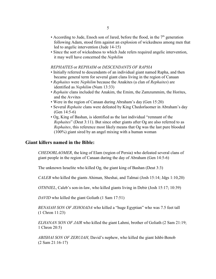- According to Jude, Enoch son of Jared, before the flood, in the  $7<sup>th</sup>$  generation following Adam, stood firm against an explosion of wickedness among men that led to angelic intervention (Jude 14-15)
- Since the sort of wickedness to which Jude refers required angelic intervention, it may well have concerned the *Nephilim*

#### *REPHAITES* or *REPHAIM* or *DESCENDANTS OF RAPHA*

- Initially referred to descendants of an individual giant named Rapha, and then became general term for several giant clans living in the region of Canaan
- *Rephaites* were *Nephilim* because the Anakites (a clan of *Rephaites*) are identified as *Nephilim* (Num 13:33)
- *Rephaite* clans included the Anakim, the Emim, the Zamzummim, the Horites, and the Avvites
- Were in the region of Canaan during Abraham's day (Gen 15:20)
- Several *Rephaite* clans were defeated by King Chedorlaomer in Abraham's day (Gen 14:5-6)
- Og, King of Bashan, is identified as the last individual "remnant of the *Rephaites*" (Deut 3:11). But since other giants after Og are also referred to as *Rephaites*, this reference most likely means that Og was the last pure blooded (100%) giant sired by an angel mixing with a human woman

## **Giant killers named in the Bible:**

*CHEDORLAOMER*, the king of Elam (region of Persia) who defeated several clans of giant people in the region of Canaan during the day of Abraham (Gen 14:5-6)

The unknown Israelite who killed Og, the giant king of Bashan (Deut 3:3)

*CALEB* who killed the giants Ahiman, Sheshai, and Talmai (Josh 15:14; Jdgs 1:10,20)

*OTHNIEL*, Caleb's son-in-law, who killed giants living in Debir (Josh 15:17; 10:39)

*DAVID* who killed the giant Goliath (1 Sam 17:51)

*BENAIAH SON OF JEHOIADA* who killed a "huge Egyptian" who was 7.5 feet tall (1 Chron 11:23)

*ELHANAN SON OF JAIR* who killed the giant Lahmi, brother of Goliath (2 Sam 21:19; 1 Chron 20:5)

*ABISHAI SON OF ZERUIAH*, David's nephew, who killed the giant Ishbi-Benob (2 Sam 21:16-17)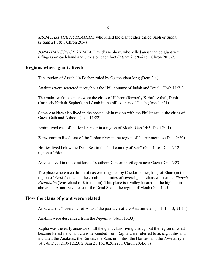*SIBBACHAI THE HUSHATHITE* who killed the giant either called Saph or Sippai (2 Sam 21:18; 1 Chron 20:4)

*JONATHAN SON OF SHIMEA*, David's nephew, who killed an unnamed giant with 6 fingers on each hand and 6 toes on each foot (2 Sam 21:20-21; 1 Chron 20:6-7)

## **Regions where giants lived:**

The "region of Argob" in Bashan ruled by Og the giant king (Deut 3:4)

Anakites were scattered throughout the "hill country of Judah and Israel" (Josh 11:21)

The main Anakite centers were the cities of Hebron (formerly Kiriath-Arba), Debir (formerly Kiriath-Sepher), and Anab in the hill country of Judah (Josh 11:21)

Some Anakites also lived in the coastal plain region with the Philistines in the cities of Gaza, Gath and Ashdod (Josh 11:22)

Emim lived east of the Jordan river in a region of Moab (Gen 14:5; Deut 2:11)

Zamzummim lived east of the Jordan river in the region of the Ammonites (Deut 2:20)

Horites lived below the Dead Sea in the "hill country of Seir" (Gen 14:6; Deut 2:12) a region of Edom

Avvites lived in the coast land of southern Canaan in villages near Gaza (Deut 2:23)

The place where a coalition of eastern kings led by Chedorloamer, king of Elam (in the region of Persia) defeated the combined armies of several giant clans was named *Shaveh-Kiriathaim* (Wasteland of Kiriathaim). This place is a valley located in the high plain above the Arnon River east of the Dead Sea in the region of Moab (Gen 14:5)

## **How the clans of giant were related:**

Arba was the "forefather of Anak," the patriarch of the Anakim clan (Josh 15:13; 21:11)

Anakim were descended from the *Nephilim* (Num 13:33)

Rapha was the early ancestor of all the giant clans living throughout the region of what became Palestine. Giant clans descended from Rapha were referred to as *Rephaites* and included the Anakites, the Emites, the Zamzummites, the Horites, and the Avvites (Gen 14:5-6; Deut 2:10-12,23; 2 Sam 21:16,18,20,22; 1 Chron 20:4,6,8)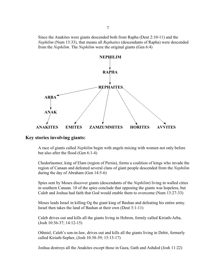Since the Anakites were giants descended both from Rapha (Deut 2:10-11) and the *Nephilim* (Num 13:33), that means all *Rephaites* (descendants of Rapha) were descended from the *Nephilim*. The *Nephilim* were the original giants (Gen 6:4)



## **Key stories involving giants:**

A race of giants called *Nephilim* begin with angels mixing with women not only before but also after the flood (Gen 6:1-4)

Chedorlaomer, king of Elam (region of Persia), forms a coalition of kings who invade the region of Canaan and defeated several clans of giant people descended from the *Nephilim* during the day of Abraham (Gen 14:5-6)

Spies sent by Moses discover giants (descendants of the *Nephilim*) living in walled cities in southern Canaan. 10 of the spies conclude that opposing the giants was hopeless, but Caleb and Joshua had faith that God would enable them to overcome (Num 13:27-33)

Moses leads Israel in killing Og the giant king of Bashan and defeating his entire army. Israel then takes the land of Bashan at their own (Deut 3:1-11)

Caleb drives out and kills all the giants living in Hebron, formly called Kiriath-Arba, (Josh 10:36-37; 14:12-15)

Othniel, Caleb's son-in-law, drives out and kills all the giants living in Debir, formerly called Kiriath-Sepher, (Josh 10:38-39; 15:15-17)

Joshua destroys all the Anakites except those in Gaza, Gath and Ashdod (Josh 11:22)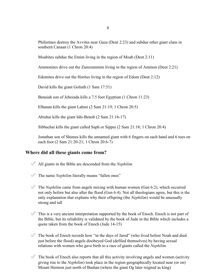Philistines destroy the Avvites near Gaza (Deut 2:23) and subdue other giant clans in southern Canaan (1 Chron 20:4)

Moabites subdue the Emim living in the region of Moab (Deut 2:11)

Ammonites drive out the Zamzummim living in the region of Ammon (Deut 2:21)

Edomites drive out the Horites living in the region of Edom (Deut 2:12)

David kills the giant Goliath (1 Sam 17:51)

Benaiah son of Jehoiada kills a 7.5 foot Egyptian (1 Chron 11:23)

Elhanan kills the giant Lahmi (2 Sam 21:19; 1 Chron 20:5)

Abishai kills the giant Ishi-Benob (2 Sam 21:16-17)

Sibbachai kills the giant called Saph or Sippai (2 Sam 21:18; 1 Chron 20:4)

Jonathan son of Shimea kills the unnamed giant with 6 fingers on each hand and 6 toes on each foot (2 Sam 21:20-21; 1 Chron 20:6-7)

## **Where did all these giants come from?**

- ° All giants in the Bible are descended from the *Nephilim*
- $\mathcal{P}$  The name *Nephilim* literally means "fallen ones"
- $\mathcal{P}$  The *Nephilim* came from angels mixing with human women (Gen 6:2), which occurred not only before but also after the flood (Gen 6:4). Not all theologians agree, but this is the only explanation that explains why their offspring (the *Nephilim*) would be unusually strong and tall
- $\mathcal O$  This is a very ancient interpretation supported by the book of Enoch. Enoch is not part of the Bible, but its reliability is validated by the book of Jude in the Bible which includes a quote taken from the book of Enoch (Jude 14-15)
- $\mathcal V$  The book of Enoch records how "in the days of Jared" (who lived before Noah and died just before the flood) angels disobeyed God (defiled themselves) by having sexual relations with women who gave birth to a race of giants called the *Nephilim*
- $\mathcal V$  The book of Enoch also reports that all this activity involving angels and women (activity giving rise to the *Nephilim*) took place in the region geographically located near (or on) Mount Hermon just north of Bashan (where the giant Og later reigned as king)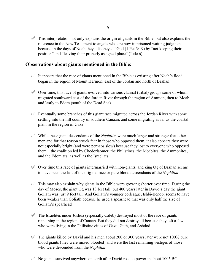$\mathcal V$  This interpretation not only explains the origin of giants in the Bible, but also explains the reference in the New Testament to angels who are now imprisoned waiting judgment because in the days of Noah they "disobeyed" God (1 Pet 3:19) by "not keeping their position" and "leaving their properly assigned place" (Jude 6)

# **Observations about giants mentioned in the Bible:**

- $\mathcal O$  It appears that the race of giants mentioned in the Bible as existing after Noah's flood began in the region of Mount Hermon, east of the Jordan and north of Bashan
- $\mathcal O$  Over time, this race of giants evolved into various clannal (tribal) groups some of whom migrated southward east of the Jordan River through the region of Ammon, then to Moab and lastly to Edom (south of the Dead Sea)
- $\mathcal V$  Eventually some branches of this giant race migrated across the Jordan River with some settling into the hill country of southern Canaan, and some migrating as far as the coastal plain in the region of Gaza
- $\mathcal V$  While these giant descendants of the *Nephilim* were much larger and stronger that other men and for that reason struck fear in those who opposed them, it also appears they were not especially bright (and were perhaps slow) because they lost to everyone who opposed them—the coalition led by Chedorlaomer, the Philistines, the Moabites, the Ammonites, and the Edomites, as well as the Israelites
- $\mathcal O$  Over time this race of giants intermarried with non-giants, and king Og of Bashan seems to have been the last of the original race or pure blood descendants of the *Nephilim*
- $\mathcal O$  This may also explain why giants in the Bible were growing shorter over time. During the day of Moses, the giant Og was 13 feet tall, but 400 years later in David's day the giant Goliath was just 9 feet tall. And Goliath's younger colleague, Ishbi-Benob, seems to have been weaker than Goliath because he used a spearhead that was only half the size of Goliath's spearhead
- $\mathcal O$  The Israelites under Joshua (especially Caleb) destroyed most of the race of giants remaining in the region of Canaan. But they did not destroy all because they left a few who were living in the Philistine cities of Gaza, Gath, and Ashdod
- $\mathcal O$  The giants killed by David and his men about 200 or 300 years later were not 100% pure blood giants (they were mixed blooded) and were the last remaining vestiges of those who were descended from the *Nephilim*
- $\mathcal O$  No giants survived anywhere on earth after David rose to power in about 1005 BC